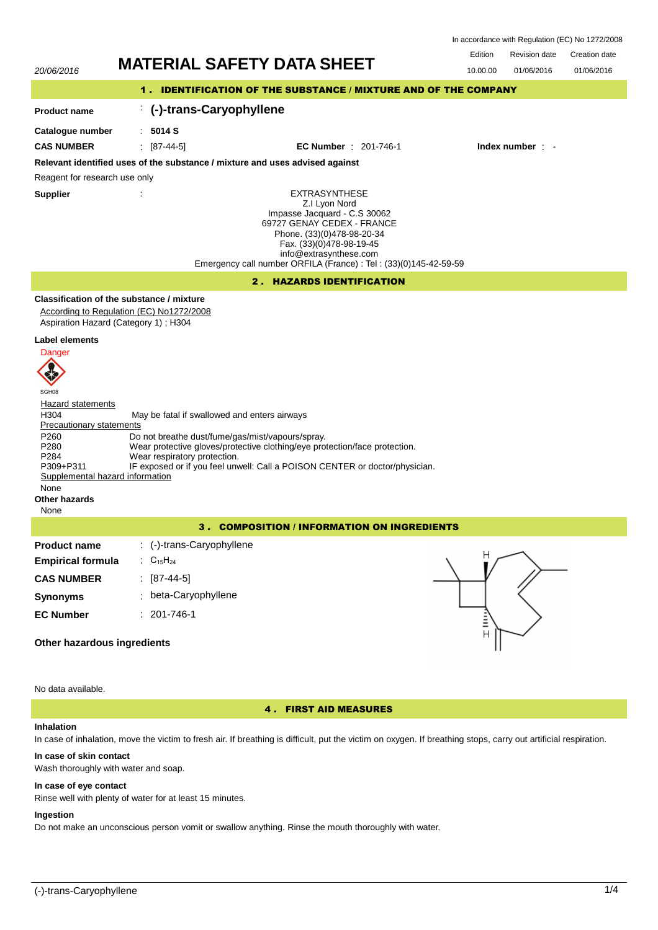In accordance with Regulation (EC) No 1272/2008

# 20/06/2016 **MATERIAL SAFETY DATA SHEET** 10.00.00 01/06/2016

Edition Revision date Creation date 01/06/2016

| 20/00/2010                                                                                                                                                                                                  |                                 |                                                                                                  |                                                                                                                                                                                                                                                              |                     |                  |  |
|-------------------------------------------------------------------------------------------------------------------------------------------------------------------------------------------------------------|---------------------------------|--------------------------------------------------------------------------------------------------|--------------------------------------------------------------------------------------------------------------------------------------------------------------------------------------------------------------------------------------------------------------|---------------------|------------------|--|
|                                                                                                                                                                                                             |                                 |                                                                                                  | 1. IDENTIFICATION OF THE SUBSTANCE / MIXTURE AND OF THE COMPANY                                                                                                                                                                                              |                     |                  |  |
| <b>Product name</b>                                                                                                                                                                                         |                                 | (-)-trans-Caryophyllene                                                                          |                                                                                                                                                                                                                                                              |                     |                  |  |
| Catalogue number                                                                                                                                                                                            | : 5014S                         |                                                                                                  |                                                                                                                                                                                                                                                              |                     |                  |  |
| <b>CAS NUMBER</b>                                                                                                                                                                                           | $[87-44-5]$                     |                                                                                                  | <b>EC Number</b> : 201-746-1                                                                                                                                                                                                                                 |                     | Index number : - |  |
|                                                                                                                                                                                                             |                                 |                                                                                                  | Relevant identified uses of the substance / mixture and uses advised against                                                                                                                                                                                 |                     |                  |  |
| Reagent for research use only                                                                                                                                                                               |                                 |                                                                                                  |                                                                                                                                                                                                                                                              |                     |                  |  |
| <b>Supplier</b>                                                                                                                                                                                             |                                 |                                                                                                  | <b>EXTRASYNTHESE</b><br>Z.I Lyon Nord<br>Impasse Jacquard - C.S 30062<br>69727 GENAY CEDEX - FRANCE<br>Phone. (33)(0)478-98-20-34<br>Fax. (33)(0)478-98-19-45<br>info@extrasynthese.com<br>Emergency call number ORFILA (France) : Tel : (33)(0)145-42-59-59 |                     |                  |  |
|                                                                                                                                                                                                             |                                 |                                                                                                  | 2. HAZARDS IDENTIFICATION                                                                                                                                                                                                                                    |                     |                  |  |
| Classification of the substance / mixture<br>According to Regulation (EC) No1272/2008<br>Aspiration Hazard (Category 1); H304<br>Label elements                                                             |                                 |                                                                                                  |                                                                                                                                                                                                                                                              |                     |                  |  |
| Danger<br>SGH08<br><b>Hazard statements</b><br>H304<br><b>Precautionary statements</b><br>P <sub>260</sub><br>P280<br>P284<br>P309+P311<br>Supplemental hazard information<br>None<br>Other hazards<br>None | Wear respiratory protection.    | May be fatal if swallowed and enters airways<br>Do not breathe dust/fume/gas/mist/vapours/spray. | Wear protective gloves/protective clothing/eye protection/face protection.<br>IF exposed or if you feel unwell: Call a POISON CENTER or doctor/physician.                                                                                                    |                     |                  |  |
|                                                                                                                                                                                                             |                                 |                                                                                                  | 3. COMPOSITION / INFORMATION ON INGREDIENTS                                                                                                                                                                                                                  |                     |                  |  |
| <b>Product name</b><br><b>Empirical formula</b><br><b>CAS NUMBER</b><br><b>Synonyms</b>                                                                                                                     | : $C_{15}H_{24}$<br>: [87-44-5] | : (-)-trans-Caryophyllene<br>beta-Caryophyllene                                                  |                                                                                                                                                                                                                                                              | Н                   |                  |  |
| <b>EC Number</b>                                                                                                                                                                                            | $: 201 - 746 - 1$               |                                                                                                  |                                                                                                                                                                                                                                                              | Ξ<br>$\overline{H}$ |                  |  |
| Other hazardous ingredients                                                                                                                                                                                 |                                 |                                                                                                  |                                                                                                                                                                                                                                                              |                     |                  |  |

# **Other hazardous ingredients**

No data available.

# 4 . FIRST AID MEASURES

# **Inhalation**

In case of inhalation, move the victim to fresh air. If breathing is difficult, put the victim on oxygen. If breathing stops, carry out artificial respiration.

# **In case of skin contact**

Wash thoroughly with water and soap.

# **In case of eye contact**

Rinse well with plenty of water for at least 15 minutes.

# **Ingestion**

Do not make an unconscious person vomit or swallow anything. Rinse the mouth thoroughly with water.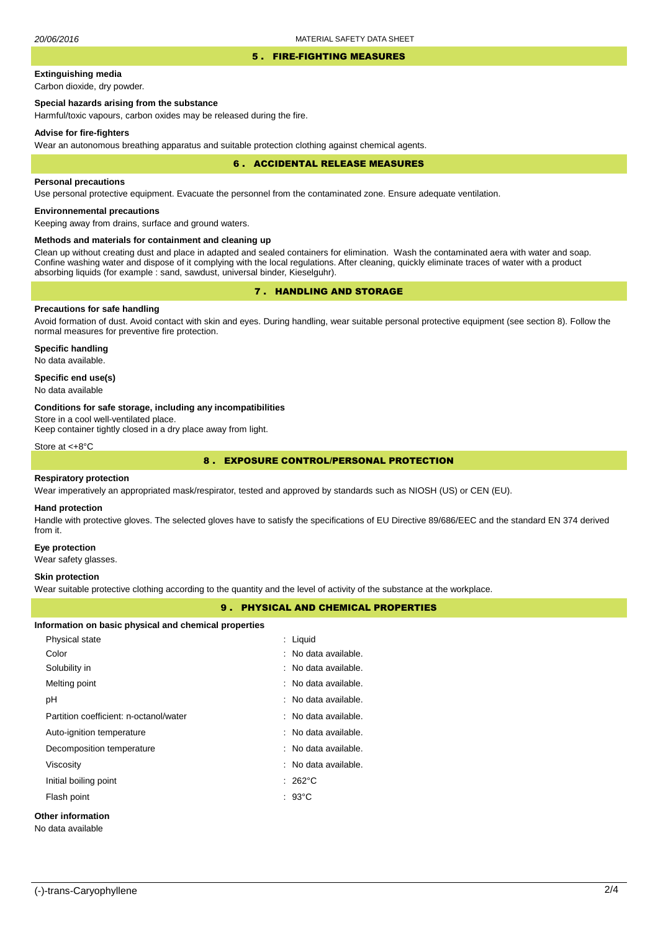#### 5 . FIRE-FIGHTING MEASURES

# **Extinguishing media**

Carbon dioxide, dry powder.

## **Special hazards arising from the substance**

Harmful/toxic vapours, carbon oxides may be released during the fire.

#### **Advise for fire-fighters**

Wear an autonomous breathing apparatus and suitable protection clothing against chemical agents.

#### 6 . ACCIDENTAL RELEASE MEASURES

#### **Personal precautions**

Use personal protective equipment. Evacuate the personnel from the contaminated zone. Ensure adequate ventilation.

# **Environnemental precautions**

Keeping away from drains, surface and ground waters.

## **Methods and materials for containment and cleaning up**

Clean up without creating dust and place in adapted and sealed containers for elimination. Wash the contaminated aera with water and soap. Confine washing water and dispose of it complying with the local regulations. After cleaning, quickly eliminate traces of water with a product absorbing liquids (for example : sand, sawdust, universal binder, Kieselguhr).

# 7 . HANDLING AND STORAGE

# **Precautions for safe handling**

Avoid formation of dust. Avoid contact with skin and eyes. During handling, wear suitable personal protective equipment (see section 8). Follow the normal measures for preventive fire protection.

**Specific handling** No data available.

## **Specific end use(s)**

No data available

#### **Conditions for safe storage, including any incompatibilities**

Store in a cool well-ventilated place.

Keep container tightly closed in a dry place away from light.

Store at <+8°C

# 8 . EXPOSURE CONTROL/PERSONAL PROTECTION

#### **Respiratory protection**

Wear imperatively an appropriated mask/respirator, tested and approved by standards such as NIOSH (US) or CEN (EU).

#### **Hand protection**

Handle with protective gloves. The selected gloves have to satisfy the specifications of EU Directive 89/686/EEC and the standard EN 374 derived from it.

#### **Eye protection**

Wear safety glasses.

#### **Skin protection**

Wear suitable protective clothing according to the quantity and the level of activity of the substance at the workplace.

## 9 . PHYSICAL AND CHEMICAL PROPERTIES

| Information on basic physical and chemical properties |  |
|-------------------------------------------------------|--|
|-------------------------------------------------------|--|

|                   | Physical state                         |  | : Liquid                        |  |  |  |
|-------------------|----------------------------------------|--|---------------------------------|--|--|--|
|                   | Color                                  |  | : No data available.            |  |  |  |
|                   | Solubility in                          |  | : No data available.            |  |  |  |
|                   | Melting point                          |  | : No data available.            |  |  |  |
|                   | pH                                     |  | : No data available.            |  |  |  |
|                   | Partition coefficient: n-octanol/water |  | $\therefore$ No data available. |  |  |  |
|                   | Auto-ignition temperature              |  | : No data available.            |  |  |  |
|                   | Decomposition temperature              |  | : No data available.            |  |  |  |
|                   | Viscosity                              |  | : No data available.            |  |  |  |
|                   | Initial boiling point                  |  | $: 262^{\circ}$ C               |  |  |  |
|                   | Flash point                            |  | $: 93^{\circ}$ C                |  |  |  |
| Other information |                                        |  |                                 |  |  |  |
|                   |                                        |  |                                 |  |  |  |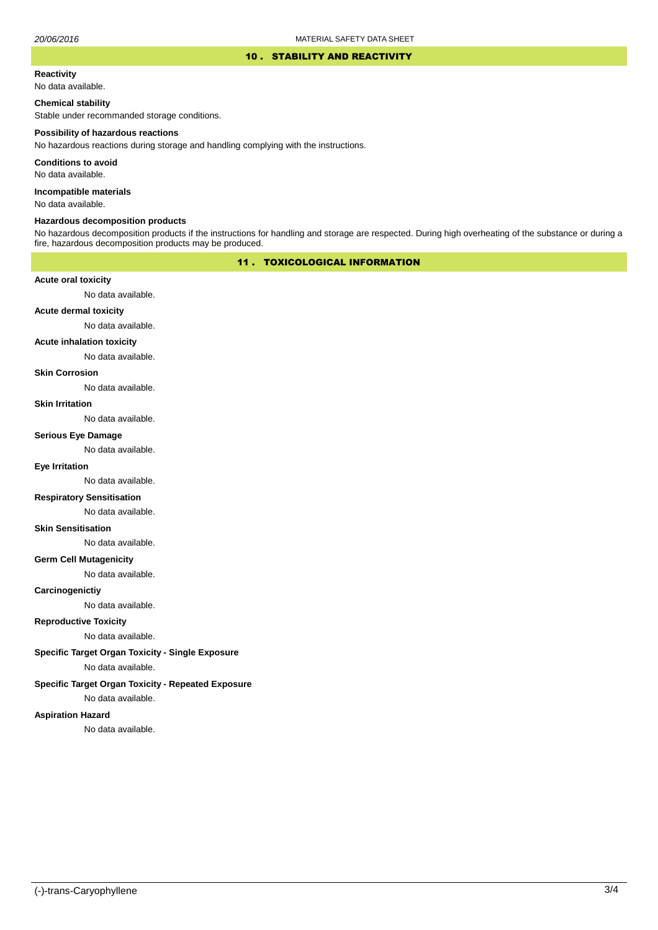## 10 . STABILITY AND REACTIVITY

#### **Reactivity**

No data available.

## **Chemical stability**

Stable under recommanded storage conditions.

#### **Possibility of hazardous reactions**

No hazardous reactions during storage and handling complying with the instructions.

**Conditions to avoid**

No data available.

**Incompatible materials**

No data available.

## **Hazardous decomposition products**

No hazardous decomposition products if the instructions for handling and storage are respected. During high overheating of the substance or during a fire, hazardous decomposition products may be produced.

# 11 . TOXICOLOGICAL INFORMATION

## **Acute oral toxicity**

No data available.

# **Acute dermal toxicity**

No data available.

## **Acute inhalation toxicity**

No data available.

## **Skin Corrosion**

No data available.

#### **Skin Irritation**

No data available.

#### **Serious Eye Damage**

No data available.

# **Eye Irritation**

No data available.

## **Respiratory Sensitisation**

No data available.

## **Skin Sensitisation**

No data available.

## **Germ Cell Mutagenicity**

No data available.

## **Carcinogenictiy**

No data available.

# **Reproductive Toxicity**

No data available.

# **Specific Target Organ Toxicity - Single Exposure**

No data available.

## **Specific Target Organ Toxicity - Repeated Exposure**

No data available.

## **Aspiration Hazard**

No data available.